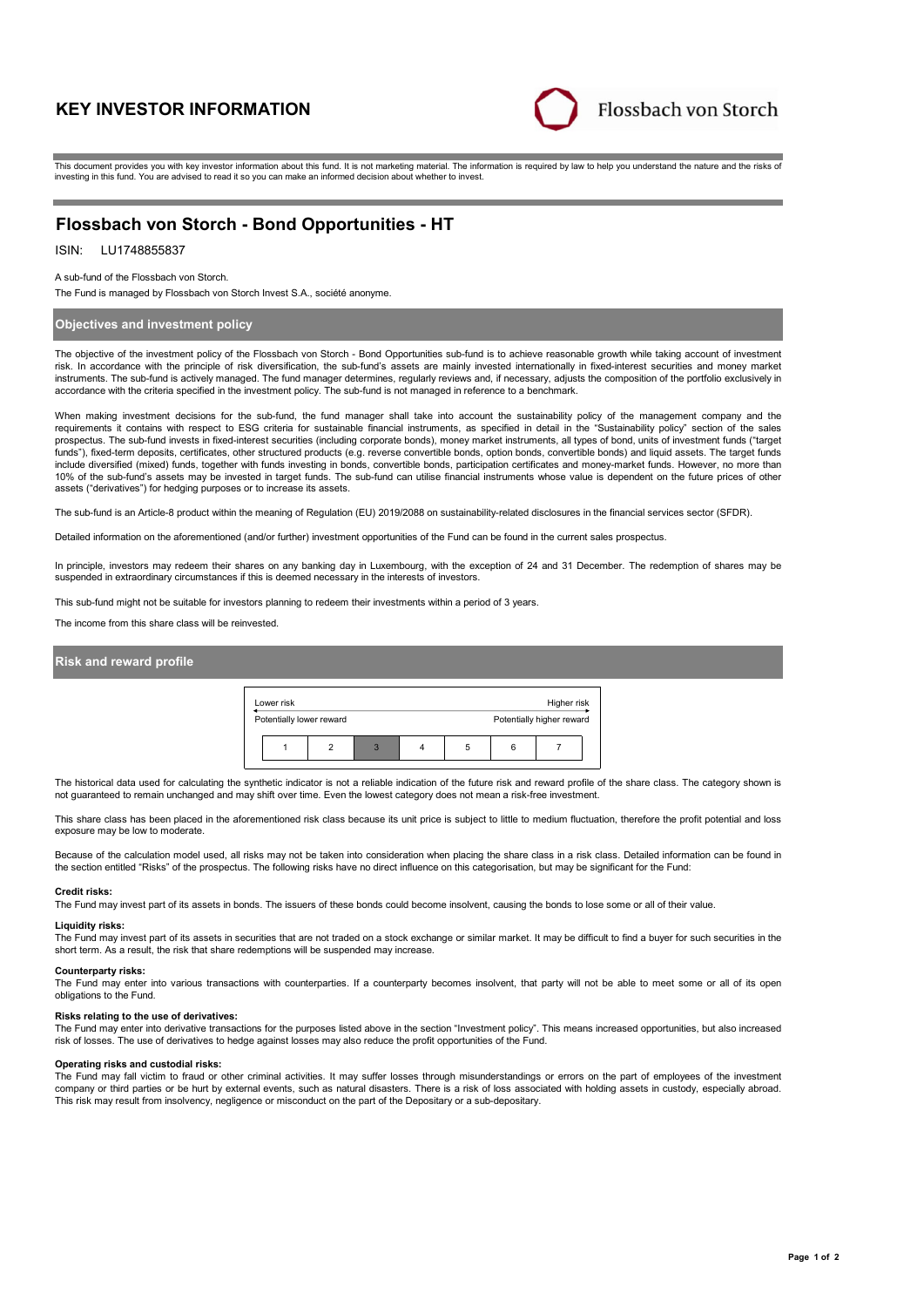# **KEY INVESTOR INFORMATION**



This document provides you with key investor information about this fund. It is not marketing material. The information is required by law to help you understand the nature and the risks of investing in this fund. You are advised to read it so you can make an informed decision about whether to invest.

## **Flossbach von Storch - Bond Opportunities - HT**

## ISIN: LU1748855837

A sub-fund of the Flossbach von Storch.

The Fund is managed by Flossbach von Storch Invest S.A., société anonyme.

### **Objectives and investment policy**

The objective of the investment policy of the Flossbach von Storch - Bond Opportunities sub-fund is to achieve reasonable growth while taking account of investment risk. In accordance with the principle of risk diversification, the sub-fund's assets are mainly invested internationally in fixed-interest securities and money market instruments. The sub-fund is actively managed. The fund manager determines, regularly reviews and, if necessary, adjusts the composition of the portfolio exclusively in accordance with the criteria specified in the investment policy. The sub-fund is not managed in reference to a benchmark.

When making investment decisions for the sub-fund, the fund manager shall take into account the sustainability policy of the management company and the requirements it contains with respect to ESG criteria for sustainable financial instruments, as specified in detail in the "Sustainability policy" section of the sales prospectus. The sub-fund invests in fixed-interest securities (including corporate bonds), money market instruments, all types of bond, units of investment funds ("target funds"), fixed-term deposits, certificates, other structured products (e.g. reverse convertible bonds, option bonds, convertible bonds) and liquid assets. The target funds include diversified (mixed) funds, together with funds investing in bonds, convertible bonds, participation certificates and money-market funds. However, no more than 10% of the sub-fund's assets may be invested in target funds. The sub-fund can utilise financial instruments whose value is dependent on the future prices of other assets ("derivatives") for hedging purposes or to increase its assets.

The sub-fund is an Article-8 product within the meaning of Regulation (EU) 2019/2088 on sustainability-related disclosures in the financial services sector (SFDR).

Detailed information on the aforementioned (and/or further) investment opportunities of the Fund can be found in the current sales prospectus.

In principle, investors may redeem their shares on any banking day in Luxembourg, with the exception of 24 and 31 December. The redemption of shares may be suspended in extraordinary circumstances if this is deemed necessary in the interests of investors.

This sub-fund might not be suitable for investors planning to redeem their investments within a period of 3 years.

The income from this share class will be reinvested.

## **Risk and reward profile**



The historical data used for calculating the synthetic indicator is not a reliable indication of the future risk and reward profile of the share class. The category shown is not guaranteed to remain unchanged and may shift over time. Even the lowest category does not mean a risk-free investment.

This share class has been placed in the aforementioned risk class because its unit price is subject to little to medium fluctuation, therefore the profit potential and loss exposure may be low to moderate.

Because of the calculation model used, all risks may not be taken into consideration when placing the share class in a risk class. Detailed information can be found in the section entitled "Risks" of the prospectus. The following risks have no direct influence on this categorisation, but may be significant for the Fund:

#### **Credit risks:**

The Fund may invest part of its assets in bonds. The issuers of these bonds could become insolvent, causing the bonds to lose some or all of their value.

#### **Liquidity risks:**

The Fund may invest part of its assets in securities that are not traded on a stock exchange or similar market. It may be difficult to find a buyer for such securities in the short term. As a result, the risk that share redemptions will be suspended may increase.

**Counterparty risks:** The Fund may enter into various transactions with counterparties. If a counterparty becomes insolvent, that party will not be able to meet some or all of its open obligations to the Fund.

#### **Risks relating to the use of derivatives:**

The Fund may enter into derivative transactions for the purposes listed above in the section "Investment policy". This means increased opportunities, but also increased risk of losses. The use of derivatives to hedge against losses may also reduce the profit opportunities of the Fund.

#### **Operating risks and custodial risks:**

The Fund may fall victim to fraud or other criminal activities. It may suffer losses through misunderstandings or errors on the part of employees of the investment company or third parties or be hurt by external events, such as natural disasters. There is a risk of loss associated with holding assets in custody, especially abroad. This risk may result from insolvency, negligence or misconduct on the part of the Depositary or a sub-depositary.